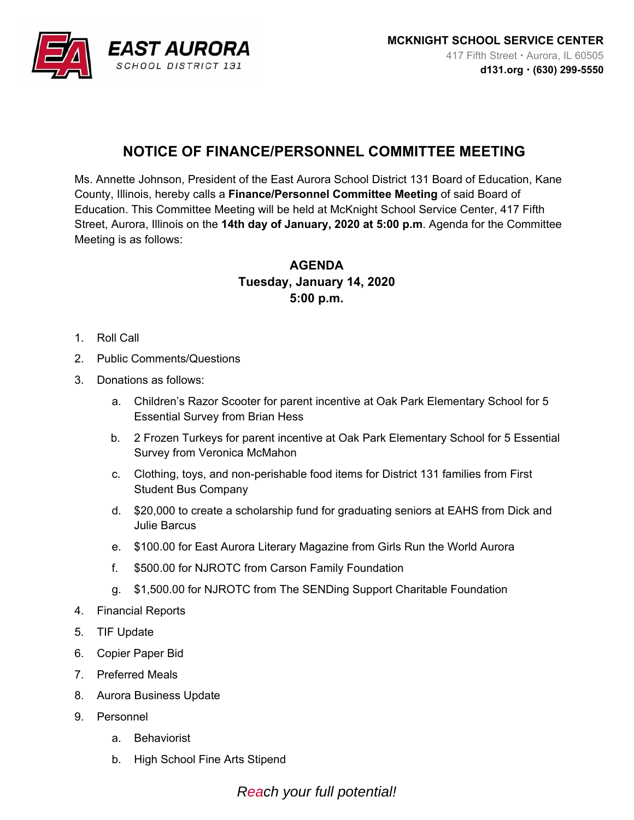

## **NOTICE OF FINANCE/PERSONNEL COMMITTEE MEETING**

Ms. Annette Johnson, President of the East Aurora School District 131 Board of Education, Kane County, Illinois, hereby calls a **Finance/Personnel Committee Meeting** of said Board of Education. This Committee Meeting will be held at McKnight School Service Center, 417 Fifth Street, Aurora, Illinois on the **14th day of January, 2020 at 5:00 p.m**. Agenda for the Committee Meeting is as follows:

## **AGENDA Tuesday, January 14, 2020 5:00 p.m.**

- 1. Roll Call
- 2. Public Comments/Questions
- 3. Donations as follows:
	- a. Children's Razor Scooter for parent incentive at Oak Park Elementary School for 5 Essential Survey from Brian Hess
	- b. 2 Frozen Turkeys for parent incentive at Oak Park Elementary School for 5 Essential Survey from Veronica McMahon
	- c. Clothing, toys, and non-perishable food items for District 131 families from First Student Bus Company
	- d. \$20,000 to create a scholarship fund for graduating seniors at EAHS from Dick and Julie Barcus
	- e. \$100.00 for East Aurora Literary Magazine from Girls Run the World Aurora
	- f. \$500.00 for NJROTC from Carson Family Foundation
	- g. \$1,500.00 for NJROTC from The SENDing Support Charitable Foundation
- 4. Financial Reports
- 5. TIF Update
- 6. Copier Paper Bid
- 7. Preferred Meals
- 8. Aurora Business Update
- 9. Personnel
	- a. Behaviorist
	- b. High School Fine Arts Stipend

*Reach your full potential!*